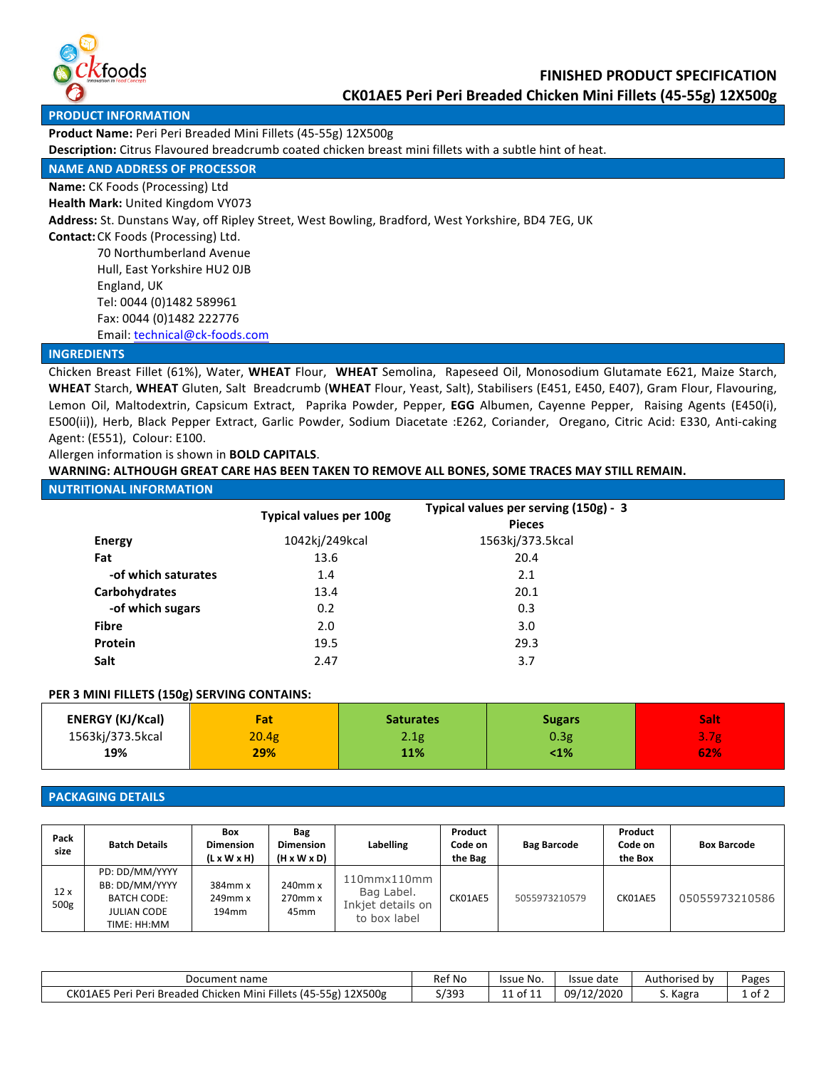

**PRODUCT INFORMATION** 

Product Name: Peri Peri Breaded Mini Fillets (45-55g) 12X500g

**Description:** Citrus Flavoured breadcrumb coated chicken breast mini fillets with a subtle hint of heat.

## **NAME AND ADDRESS OF PROCESSOR**

**Name:** CK Foods (Processing) Ltd

**Health Mark: United Kingdom VY073** 

Address: St. Dunstans Way, off Ripley Street, West Bowling, Bradford, West Yorkshire, BD4 7EG, UK

**Contact:** CK Foods (Processing) Ltd.

70 Northumberland Avenue Hull, East Yorkshire HU2 OJB England, UK Tel: 0044 (0)1482 589961 Fax: 0044 (0)1482 222776 Email: technical@ck-foods.com

## **INGREDIENTS**

Chicken Breast Fillet (61%), Water, WHEAT Flour, WHEAT Semolina, Rapeseed Oil, Monosodium Glutamate E621, Maize Starch, WHEAT Starch, WHEAT Gluten, Salt Breadcrumb (WHEAT Flour, Yeast, Salt), Stabilisers (E451, E450, E407), Gram Flour, Flavouring, Lemon Oil, Maltodextrin, Capsicum Extract, Paprika Powder, Pepper, **EGG** Albumen, Cayenne Pepper, Raising Agents (E450(i), E500(ii)), Herb, Black Pepper Extract, Garlic Powder, Sodium Diacetate :E262, Coriander, Oregano, Citric Acid: E330, Anti-caking Agent: (E551), Colour: E100.

## Allergen information is shown in **BOLD CAPITALS**.

WARNING: ALTHOUGH GREAT CARE HAS BEEN TAKEN TO REMOVE ALL BONES, SOME TRACES MAY STILL REMAIN.

## **NUTRITIONAL INFORMATION**

|                     | Typical values per 100g | Typical values per serving (150g) - 3<br><b>Pieces</b> |  |
|---------------------|-------------------------|--------------------------------------------------------|--|
| <b>Energy</b>       | 1042kj/249kcal          | 1563kj/373.5kcal                                       |  |
| Fat                 | 13.6                    | 20.4                                                   |  |
| -of which saturates | 1.4                     | 2.1                                                    |  |
| Carbohydrates       | 13.4                    | 20.1                                                   |  |
| -of which sugars    | 0.2                     | 0.3                                                    |  |
| <b>Fibre</b>        | 2.0                     | 3.0                                                    |  |
| Protein             | 19.5                    | 29.3                                                   |  |
| Salt                | 2.47                    | 3.7                                                    |  |

## **PER 3 MINI FILLETS (150g) SERVING CONTAINS:**

| <b>ENERGY (KJ/Kcal)</b> | Fat   | <b>Saturates</b> | <b>Sugars</b> | Salt             |
|-------------------------|-------|------------------|---------------|------------------|
| 1563kj/373.5kcal        | 20.4g | 2.1g             | 0.3g          | 3.7 <sub>g</sub> |
| 19%                     | 29%   | 11%              | 1%>           | 62%              |
|                         |       |                  |               |                  |

## **PACKAGING DETAILS**

| Pack<br>size            | <b>Batch Details</b>                                                                        | <b>Box</b><br><b>Dimension</b><br>$(L \times W \times H)$ | Bag<br><b>Dimension</b><br>$(H \times W \times D)$ | Labelling                                                      | Product<br>Code on<br>the Bag | <b>Bag Barcode</b> | Product<br>Code on<br>the Box | <b>Box Barcode</b> |
|-------------------------|---------------------------------------------------------------------------------------------|-----------------------------------------------------------|----------------------------------------------------|----------------------------------------------------------------|-------------------------------|--------------------|-------------------------------|--------------------|
| 12x<br>500 <sub>g</sub> | PD: DD/MM/YYYY<br>BB: DD/MM/YYYY<br><b>BATCH CODE:</b><br><b>JULIAN CODE</b><br>TIME: HH:MM | 384mm x<br>$249$ mm $x$<br>194 <sub>mm</sub>              | $240$ mm $x$<br>$270$ mm $x$<br>45 <sub>mm</sub>   | 110mmx110mm<br>Bag Label.<br>Inkjet details on<br>to box label | CK01AE5                       | 5055973210579      | CK01AE5                       | 05055973210586     |

| Document name                                                                                   | Ref No                      | Issue No.         | Issue date | Authorised by | Pages    |
|-------------------------------------------------------------------------------------------------|-----------------------------|-------------------|------------|---------------|----------|
| l Chicken<br>Fillets,<br>- (45-55g)<br>CK01AE5 Peri<br>12X500g<br>Mini<br>` Peri .<br>i Breaded | 1303<br><i><b>JIJJJ</b></i> | of 11<br>14<br>ᆠᆠ | 09/12/2020 | Kagra         | . of $7$ |